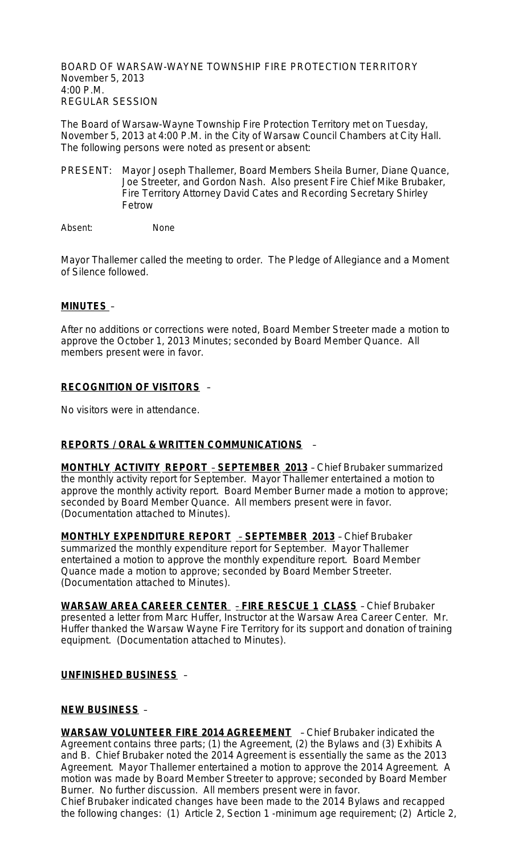BOARD OF WARSAW-WAYNE TOWNSHIP FIRE PROTECTION TERRITORY November 5, 2013 4:00 P.M. REGULAR SESSION

The Board of Warsaw-Wayne Township Fire Protection Territory met on Tuesday, November 5, 2013 at 4:00 P.M. in the City of Warsaw Council Chambers at City Hall. The following persons were noted as present or absent:

PRESENT: Mayor Joseph Thallemer, Board Members Sheila Burner, Diane Quance, Joe Streeter, and Gordon Nash. Also present Fire Chief Mike Brubaker, Fire Territory Attorney David Cates and Recording Secretary Shirley Fetrow

Absent: None

Mayor Thallemer called the meeting to order. The Pledge of Allegiance and a Moment of Silence followed.

#### **MINUTES** –

After no additions or corrections were noted, Board Member Streeter made a motion to approve the October 1, 2013 Minutes; seconded by Board Member Quance. All members present were in favor.

### **RECOGNITION OF VISITORS** –

No visitors were in attendance.

### **REPORTS / ORAL & WRITTEN COMMUNICATIONS** –

**MONTHLY ACTIVITY REPORT** – **SEPTEMBER 2013** – Chief Brubaker summarized the monthly activity report for September. Mayor Thallemer entertained a motion to approve the monthly activity report. Board Member Burner made a motion to approve; seconded by Board Member Quance. All members present were in favor. (Documentation attached to Minutes).

**MONTHLY EXPENDITURE REPORT** – **SEPTEMBER 2013** – Chief Brubaker summarized the monthly expenditure report for September. Mayor Thallemer entertained a motion to approve the monthly expenditure report. Board Member Quance made a motion to approve; seconded by Board Member Streeter. (Documentation attached to Minutes).

**WARSAW AREA CAREER CENTER** – **FIRE RESCUE 1 CLASS** – Chief Brubaker presented a letter from Marc Huffer, Instructor at the Warsaw Area Career Center. Mr. Huffer thanked the Warsaw Wayne Fire Territory for its support and donation of training equipment. (Documentation attached to Minutes).

#### **UNFINISHED BUSINESS** –

### **NEW BUSINESS** –

**WARSAW VOLUNTEER FIRE 2014 AGREEMENT** – Chief Brubaker indicated the Agreement contains three parts; (1) the Agreement, (2) the Bylaws and (3) Exhibits A and B. Chief Brubaker noted the 2014 Agreement is essentially the same as the 2013 Agreement. Mayor Thallemer entertained a motion to approve the 2014 Agreement. A motion was made by Board Member Streeter to approve; seconded by Board Member Burner. No further discussion. All members present were in favor. Chief Brubaker indicated changes have been made to the 2014 Bylaws and recapped the following changes: (1) Article 2, Section 1 -minimum age requirement; (2) Article 2,